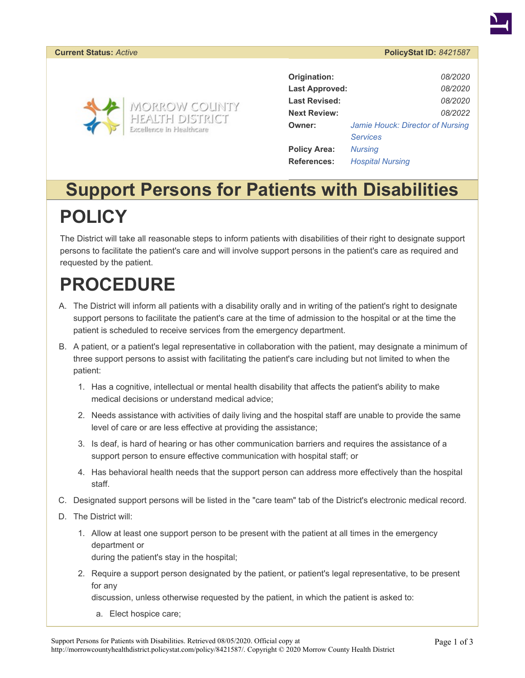#### **Current Status:** *Active* **PolicyStat ID:** *8421587*



| Origination:          | 08/2020                          |
|-----------------------|----------------------------------|
| <b>Last Approved:</b> | 08/2020                          |
| <b>Last Revised:</b>  | <i>08/2020</i>                   |
| <b>Next Review:</b>   | 08/2022                          |
| Owner:                | Jamie Houck: Director of Nursing |
|                       | <b>Services</b>                  |
| <b>Policy Area:</b>   | <b>Nursing</b>                   |
| <b>References:</b>    | <b>Hospital Nursing</b>          |

#### **Support Persons for Patients with Disabilities POLICY**

The District will take all reasonable steps to inform patients with disabilities of their right to designate support persons to facilitate the patient's care and will involve support persons in the patient's care as required and requested by the patient.

# **PROCEDURE**

- A. The District will inform all patients with a disability orally and in writing of the patient's right to designate support persons to facilitate the patient's care at the time of admission to the hospital or at the time the patient is scheduled to receive services from the emergency department.
- B. A patient, or a patient's legal representative in collaboration with the patient, may designate a minimum of three support persons to assist with facilitating the patient's care including but not limited to when the patient:
	- 1. Has a cognitive, intellectual or mental health disability that affects the patient's ability to make medical decisions or understand medical advice;
	- 2. Needs assistance with activities of daily living and the hospital staff are unable to provide the same level of care or are less effective at providing the assistance;
	- 3. Is deaf, is hard of hearing or has other communication barriers and requires the assistance of a support person to ensure effective communication with hospital staff; or
	- 4. Has behavioral health needs that the support person can address more effectively than the hospital staff.
- C. Designated support persons will be listed in the "care team" tab of the District's electronic medical record.
- D. The District will:
	- 1. Allow at least one support person to be present with the patient at all times in the emergency department or

during the patient's stay in the hospital;

2. Require a support person designated by the patient, or patient's legal representative, to be present for any

discussion, unless otherwise requested by the patient, in which the patient is asked to:

a. Elect hospice care;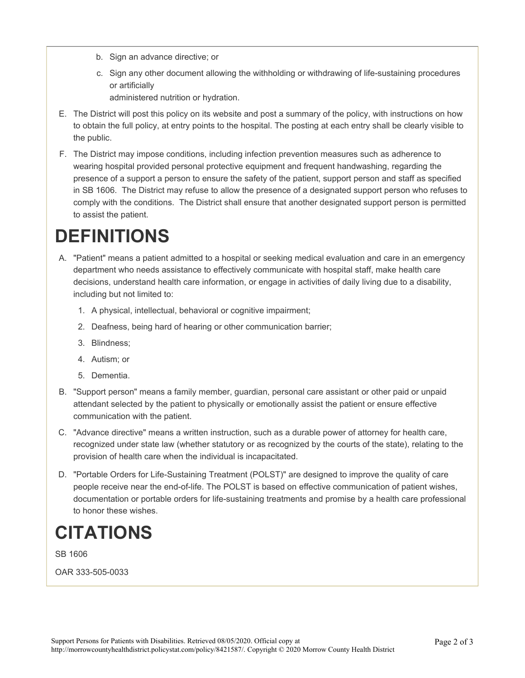- b. Sign an advance directive; or
- c. Sign any other document allowing the withholding or withdrawing of life-sustaining procedures or artificially
	- administered nutrition or hydration.
- E. The District will post this policy on its website and post a summary of the policy, with instructions on how to obtain the full policy, at entry points to the hospital. The posting at each entry shall be clearly visible to the public.
- F. The District may impose conditions, including infection prevention measures such as adherence to wearing hospital provided personal protective equipment and frequent handwashing, regarding the presence of a support a person to ensure the safety of the patient, support person and staff as specified in SB 1606. The District may refuse to allow the presence of a designated support person who refuses to comply with the conditions. The District shall ensure that another designated support person is permitted to assist the patient.

## **DEFINITIONS**

- A. "Patient" means a patient admitted to a hospital or seeking medical evaluation and care in an emergency department who needs assistance to effectively communicate with hospital staff, make health care decisions, understand health care information, or engage in activities of daily living due to a disability, including but not limited to:
	- 1. A physical, intellectual, behavioral or cognitive impairment;
	- 2. Deafness, being hard of hearing or other communication barrier;
	- 3. Blindness;
	- 4. Autism; or
	- 5. Dementia.
- B. "Support person" means a family member, guardian, personal care assistant or other paid or unpaid attendant selected by the patient to physically or emotionally assist the patient or ensure effective communication with the patient.
- C. "Advance directive" means a written instruction, such as a durable power of attorney for health care, recognized under state law (whether statutory or as recognized by the courts of the state), relating to the provision of health care when the individual is incapacitated.
- D. "Portable Orders for Life-Sustaining Treatment (POLST)" are designed to improve the quality of care people receive near the end-of-life. The POLST is based on effective communication of patient wishes, documentation or portable orders for life-sustaining treatments and promise by a health care professional to honor these wishes.

### **CITATIONS**

SB 1606

OAR 333-505-0033